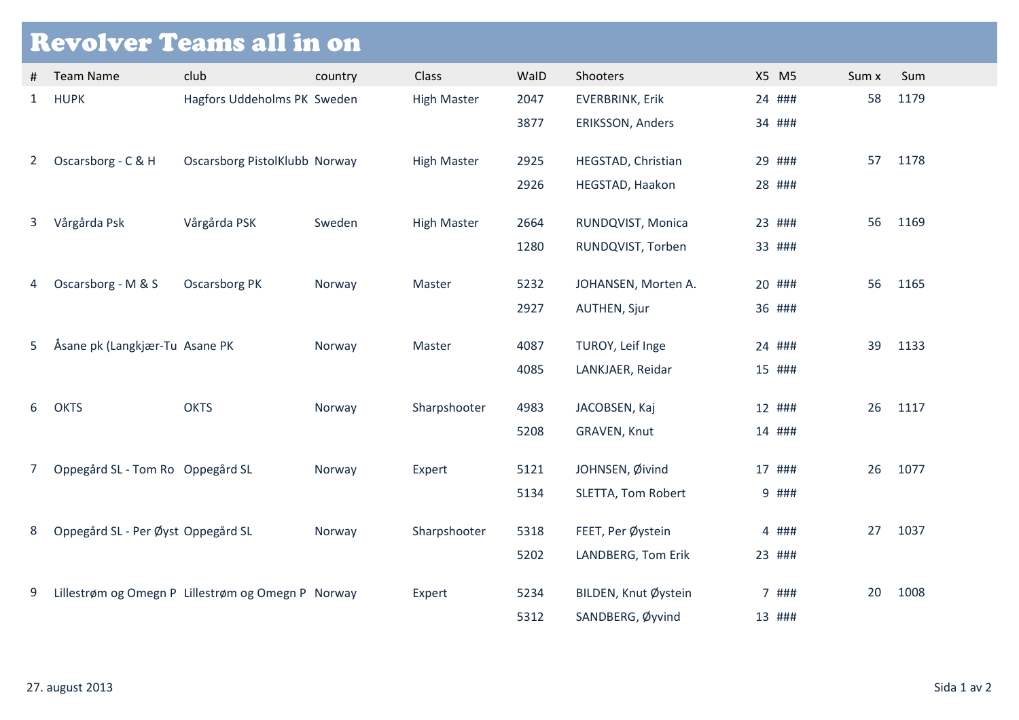| <b>Revolver Teams all in on</b> |                                    |                                                    |         |                    |      |                        |        |       |    |      |  |  |
|---------------------------------|------------------------------------|----------------------------------------------------|---------|--------------------|------|------------------------|--------|-------|----|------|--|--|
| #                               | <b>Team Name</b>                   | club                                               | country | Class              | WalD | Shooters               | X5 M5  | Sum x |    | Sum  |  |  |
| $\mathbf{1}$                    | <b>HUPK</b>                        | Hagfors Uddeholms PK Sweden                        |         | <b>High Master</b> | 2047 | <b>EVERBRINK, Erik</b> | 24 ### |       | 58 | 1179 |  |  |
|                                 |                                    |                                                    |         |                    | 3877 | ERIKSSON, Anders       | 34 ### |       |    |      |  |  |
| $\mathbf{2}$                    | Oscarsborg - C & H                 | Oscarsborg PistolKlubb Norway                      |         | <b>High Master</b> | 2925 | HEGSTAD, Christian     | 29 ### |       | 57 | 1178 |  |  |
|                                 |                                    |                                                    |         |                    | 2926 | HEGSTAD, Haakon        | 28 ### |       |    |      |  |  |
| 3                               | Vårgårda Psk                       | Vårgårda PSK                                       | Sweden  | <b>High Master</b> | 2664 | RUNDQVIST, Monica      | 23 ### |       | 56 | 1169 |  |  |
|                                 |                                    |                                                    |         |                    | 1280 | RUNDQVIST, Torben      | 33 ### |       |    |      |  |  |
| 4                               | Oscarsborg - M & S                 | <b>Oscarsborg PK</b>                               | Norway  | Master             | 5232 | JOHANSEN, Morten A.    | 20 ### |       | 56 | 1165 |  |  |
|                                 |                                    |                                                    |         |                    | 2927 | <b>AUTHEN, Sjur</b>    | 36 ### |       |    |      |  |  |
| 5                               | Åsane pk (Langkjær-Tu Asane PK     |                                                    | Norway  | Master             | 4087 | TUROY, Leif Inge       | 24 ### |       | 39 | 1133 |  |  |
|                                 |                                    |                                                    |         |                    | 4085 | LANKJAER, Reidar       | 15 ### |       |    |      |  |  |
| 6                               | <b>OKTS</b>                        | <b>OKTS</b>                                        | Norway  | Sharpshooter       | 4983 | JACOBSEN, Kaj          | 12 ### |       | 26 | 1117 |  |  |
|                                 |                                    |                                                    |         |                    | 5208 | GRAVEN, Knut           | 14 ### |       |    |      |  |  |
| 7                               | Oppegård SL - Tom Ro Oppegård SL   |                                                    | Norway  | Expert             | 5121 | JOHNSEN, Øivind        | 17 ### |       | 26 | 1077 |  |  |
|                                 |                                    |                                                    |         |                    | 5134 | SLETTA, Tom Robert     |        | 9 ### |    |      |  |  |
| 8                               | Oppegård SL - Per Øyst Oppegård SL |                                                    | Norway  | Sharpshooter       | 5318 | FEET, Per Øystein      |        | 4 ### | 27 | 1037 |  |  |
|                                 |                                    |                                                    |         |                    | 5202 | LANDBERG, Tom Erik     | 23 ### |       |    |      |  |  |
| 9                               |                                    | Lillestrøm og Omegn P Lillestrøm og Omegn P Norway |         | Expert             | 5234 | BILDEN, Knut Øystein   |        | 7 ### | 20 | 1008 |  |  |
|                                 |                                    |                                                    |         |                    | 5312 | SANDBERG, Øyvind       | 13 ### |       |    |      |  |  |